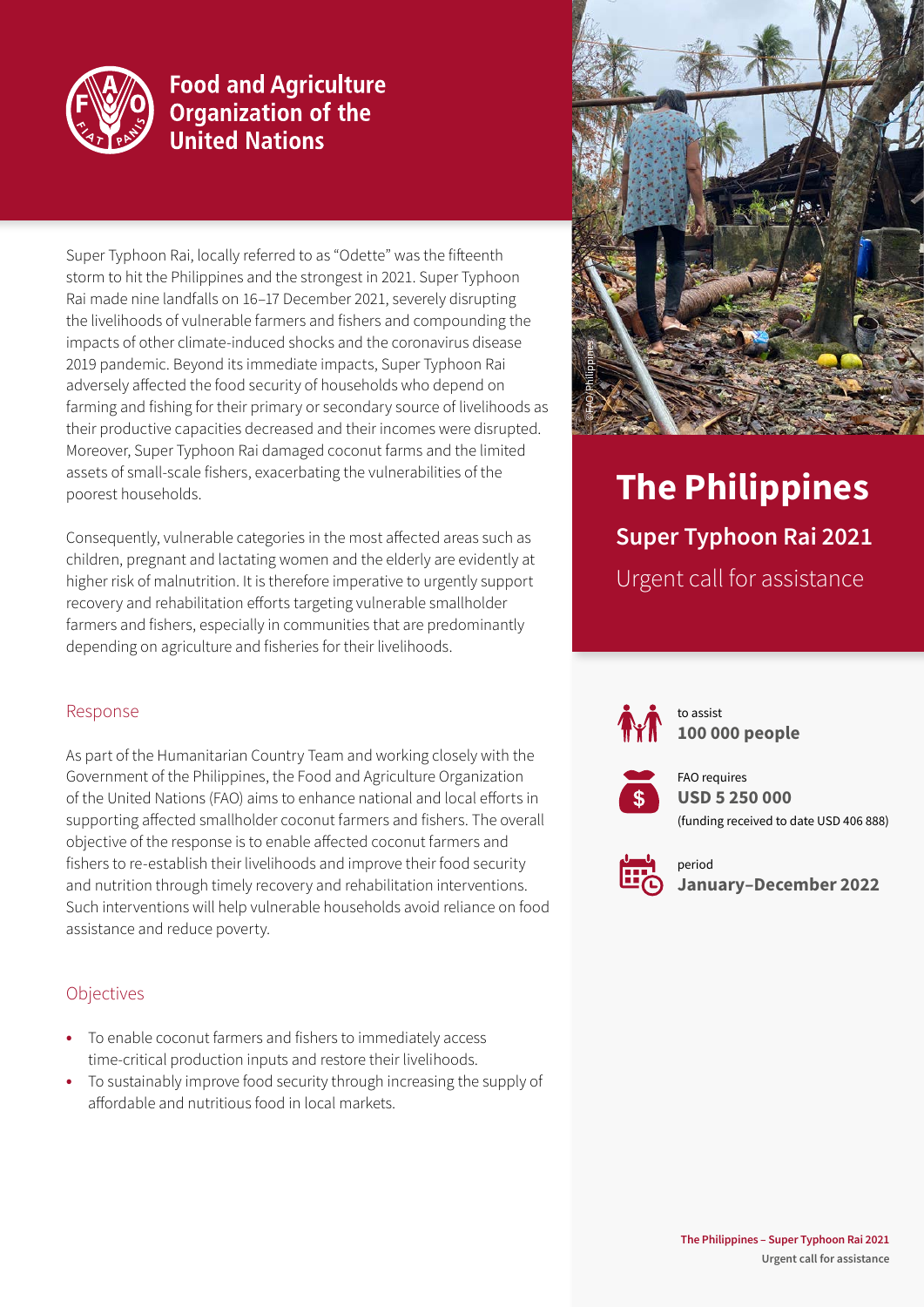

# **Food and Agriculture Organization of the United Nations**

Super Typhoon Rai, locally referred to as "Odette" was the fifteenth storm to hit the Philippines and the strongest in 2021. Super Typhoon Rai made nine landfalls on 16–17 December 2021, severely disrupting the livelihoods of vulnerable farmers and fishers and compounding the impacts of other climate-induced shocks and the coronavirus disease 2019 pandemic. Beyond its immediate impacts, Super Typhoon Rai adversely affected the food security of households who depend on farming and fishing for their primary or secondary source of livelihoods as their productive capacities decreased and their incomes were disrupted. Moreover, Super Typhoon Rai damaged coconut farms and the limited assets of small-scale fishers, exacerbating the vulnerabilities of the poorest households.

Consequently, vulnerable categories in the most affected areas such as children, pregnant and lactating women and the elderly are evidently at higher risk of malnutrition. It is therefore imperative to urgently support recovery and rehabilitation efforts targeting vulnerable smallholder farmers and fishers, especially in communities that are predominantly depending on agriculture and fisheries for their livelihoods.

#### Response

As part of the Humanitarian Country Team and working closely with the Government of the Philippines, the Food and Agriculture Organization of the United Nations (FAO) aims to enhance national and local efforts in supporting affected smallholder coconut farmers and fishers. The overall objective of the response is to enable affected coconut farmers and fishers to re-establish their livelihoods and improve their food security and nutrition through timely recovery and rehabilitation interventions. Such interventions will help vulnerable households avoid reliance on food assistance and reduce poverty.

#### **Objectives**

- **•** To enable coconut farmers and fishers to immediately access time-critical production inputs and restore their livelihoods.
- **•** To sustainably improve food security through increasing the supply of affordable and nutritious food in local markets.



# **The Philippines Super Typhoon Rai 2021** Urgent call for assistance



to assist **100 000 people** 



FAO requires **USD 5 250 000** (funding received to date USD 406 888)



period **January–December 2022**